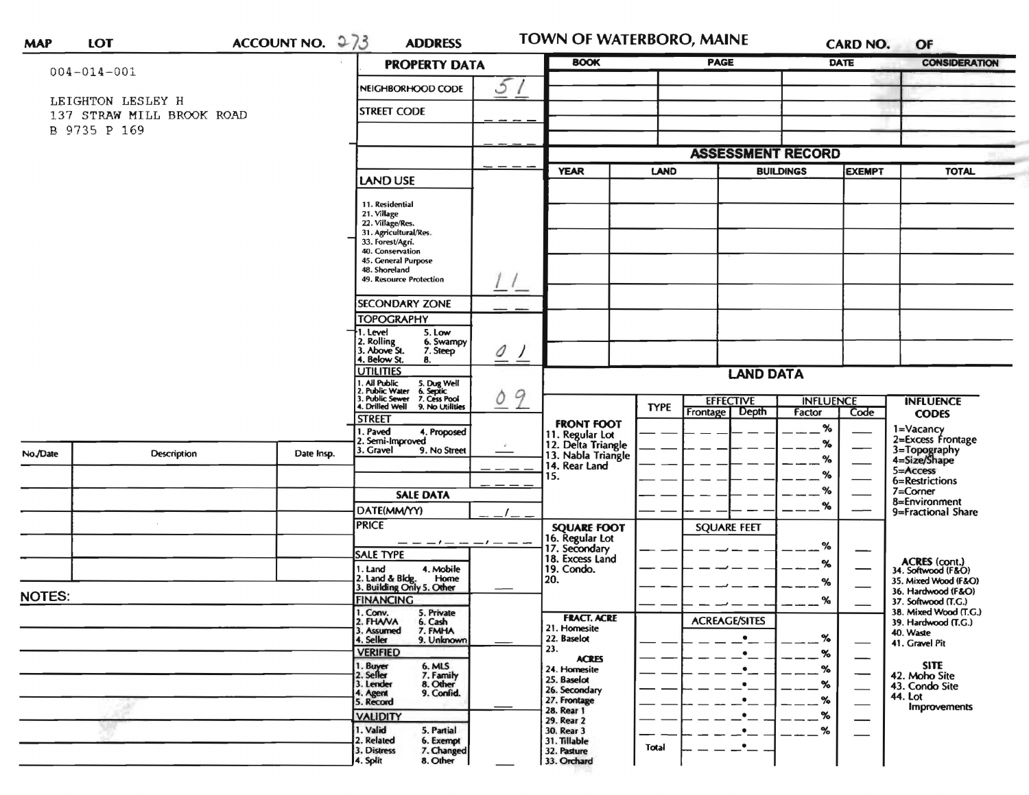| <b>MAP</b> | LOT |
|------------|-----|
|            |     |

ACCOUNT NO.  $273$ 

**ADDRESS** 

TOWN OF WATERBORO, MAINE

CARD NO. OF

|          | $004 - 014 - 001$                              |            | <b>PROPERTY DATA</b>                                                                                                                                                                   |                    | <b>BOOK</b>                                                 | <b>PAGE</b>             |                                     | <b>DATE</b>                              | <b>CONSIDERATION</b>                              |  |
|----------|------------------------------------------------|------------|----------------------------------------------------------------------------------------------------------------------------------------------------------------------------------------|--------------------|-------------------------------------------------------------|-------------------------|-------------------------------------|------------------------------------------|---------------------------------------------------|--|
|          |                                                |            | NEIGHBORHOOD CODE                                                                                                                                                                      | 5                  |                                                             |                         |                                     |                                          |                                                   |  |
|          | LEIGHTON LESLEY H<br>137 STRAW MILL BROOK ROAD |            | <b>STREET CODE</b>                                                                                                                                                                     |                    |                                                             |                         |                                     |                                          |                                                   |  |
|          | B 9735 P 169                                   |            |                                                                                                                                                                                        |                    |                                                             |                         |                                     |                                          |                                                   |  |
|          |                                                |            |                                                                                                                                                                                        |                    |                                                             |                         | <b>ASSESSMENT RECORD</b>            |                                          |                                                   |  |
|          |                                                |            |                                                                                                                                                                                        |                    | <b>YEAR</b>                                                 | <b>LAND</b>             | <b>BUILDINGS</b>                    | <b>EXEMPT</b>                            | <b>TOTAL</b>                                      |  |
|          |                                                |            | <b>LAND USE</b>                                                                                                                                                                        |                    |                                                             |                         |                                     |                                          |                                                   |  |
|          |                                                |            | 11. Residential<br>21. Village<br>22. Village/Res.<br>31. Agricultural/Res.<br>33. Forest/Agri.<br>40. Conservation<br>45. General Purpose<br>48. Shoreland<br>49. Resource Protection |                    |                                                             |                         |                                     |                                          |                                                   |  |
|          |                                                |            | <b>SECONDARY ZONE</b>                                                                                                                                                                  |                    |                                                             |                         |                                     |                                          |                                                   |  |
|          |                                                |            | <b>TOPOGRAPHY</b>                                                                                                                                                                      |                    |                                                             |                         |                                     |                                          |                                                   |  |
|          |                                                |            | 1. Level<br>5. Low<br>2. Rolling<br>3. Above St.<br>6. Swampy<br>7. Steep<br>4. Below St.<br>8.                                                                                        | 0<br>$\frac{1}{2}$ |                                                             |                         |                                     |                                          |                                                   |  |
|          |                                                |            | <b>UTILITIES</b><br>. Ail Public                                                                                                                                                       |                    |                                                             |                         | <b>LAND DATA</b>                    |                                          |                                                   |  |
|          |                                                |            | 5. Dug Well<br>6. Septic<br>7. Cess Pool<br>. Public Water<br>3. Public Sewer<br>4. Drilled Weil<br>9. No Utilities                                                                    | 9<br>0             |                                                             | <b>TYPE</b><br>Frontage | <b>EFFECTIVE</b><br>Depth<br>Factor | <b>INFLUENCE</b><br>Code                 | <b>INFLUENCE</b><br><b>CODES</b>                  |  |
|          |                                                |            | <b>STREET</b><br>. Paved<br>4. Proposed                                                                                                                                                |                    | <b>FRONT FOOT</b>                                           |                         |                                     | %                                        | 1=Vacancy                                         |  |
| No./Date | Description                                    | Date Insp. | Semi-Improved<br>3. Gravel<br>9. No Street                                                                                                                                             |                    | 11. Regular Lot<br>12. Delta Triangle<br>13. Nabla Triangle |                         |                                     | %                                        | 2=Excess Frontage<br>3=Topography<br>4=Size/Shape |  |
|          |                                                |            |                                                                                                                                                                                        |                    | 14. Rear Land                                               |                         |                                     | %<br>%                                   | 5=Access                                          |  |
|          |                                                |            | <b>SALE DATA</b>                                                                                                                                                                       |                    | 15.                                                         |                         |                                     | $\%$                                     | 6=Restrictions<br>7=Corner                        |  |
|          |                                                |            | DATE(MM/YY)                                                                                                                                                                            |                    |                                                             |                         |                                     | %                                        | 8=Environment<br>9=Fractional Share               |  |
|          |                                                |            | <b>PRICE</b>                                                                                                                                                                           |                    | <b>SQUARE FOOT</b>                                          |                         | <b>SQUARE FEET</b>                  |                                          |                                                   |  |
|          |                                                |            |                                                                                                                                                                                        | $-1$ $     -$      | 16. Regular Lot<br>17. Secondary                            |                         |                                     | %                                        |                                                   |  |
|          |                                                |            | <b>SALE TYPE</b><br>4. Mobile<br>1. Land                                                                                                                                               |                    | 18. Excess Land<br>19. Condo.                               |                         |                                     | %                                        | ACRES (cont.)<br>34. Softwood (F&O)               |  |
|          |                                                |            | 2. Land & Bidg. Home<br>3. Building Only 5. Other<br>Home                                                                                                                              |                    | 20.                                                         |                         |                                     | %                                        | 35. Mixed Wood (F&O)                              |  |
| NOTES:   |                                                |            | <b>FINANCING</b>                                                                                                                                                                       |                    |                                                             |                         |                                     | %                                        | 36. Hardwood (F&O)<br>37. Softwood (T.G.)         |  |
|          |                                                |            | 1. Conv.<br>5. Private<br>2. FHANA<br>6. Cash                                                                                                                                          |                    | <b>FRACT, ACRE</b>                                          |                         | <b>ACREAGE/SITES</b>                |                                          | 38. Mixed Wood (T.G.)<br>39. Hardwood (T.G.)      |  |
|          |                                                |            | 7. FMHA<br>3. Assumed<br>4. Seller<br>9. Unknown                                                                                                                                       |                    | 21. Homesite<br>22. Baselot                                 |                         |                                     | %                                        | 40. Waste<br>41. Gravel Pit                       |  |
|          |                                                |            | <b>VERIFIED</b>                                                                                                                                                                        |                    | 23.<br><b>ACRES</b>                                         |                         | ٠                                   | %<br>—                                   |                                                   |  |
|          |                                                |            | 1. Buyer<br>2. Seller<br>6. MLS<br>7. Family                                                                                                                                           |                    | 24. Homesite<br>25. Baselot                                 |                         |                                     | ℅                                        | <b>SITE</b><br>42. Moho Site                      |  |
|          |                                                |            | 8. Other<br>9. Confid.<br>3. Lender<br>4. Agent                                                                                                                                        |                    | 26. Secondary<br>27. Frontage                               |                         |                                     | %<br>$\overbrace{\hspace{27mm}}$<br>$\%$ | 43. Condo Site<br>44. Lot                         |  |
|          |                                                |            | 5. Record<br><b>VALIDITY</b>                                                                                                                                                           |                    | 28. Rear 1                                                  |                         |                                     | $\overline{\phantom{0}}$<br>%            | <b>Improvements</b>                               |  |
|          |                                                |            | 1. Valid<br>5. Partial                                                                                                                                                                 |                    | 29. Rear 2<br>30. Rear 3                                    |                         |                                     | %<br>$\overbrace{\phantom{aaaaa}}^{}$    |                                                   |  |
|          |                                                |            | 2. Related<br>6. Exempt<br>3. Distress<br>7. Changed                                                                                                                                   |                    | 31. Tillable<br>32. Pasture                                 | Total                   | $\bullet$                           |                                          |                                                   |  |
|          |                                                |            | 8. Other<br>4. Split                                                                                                                                                                   |                    | 33. Orchard                                                 |                         |                                     |                                          |                                                   |  |